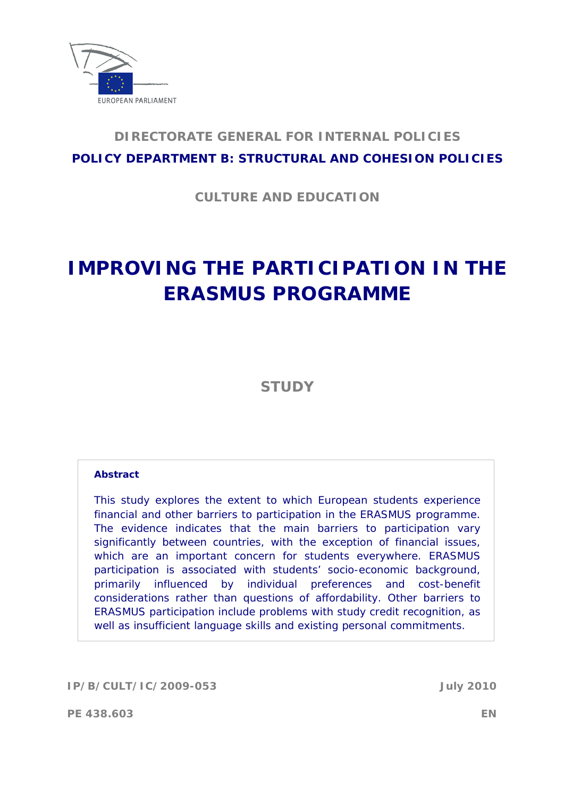

# **DIRECTORATE GENERAL FOR INTERNAL POLICIES POLICY DEPARTMENT B: STRUCTURAL AND COHESION POLICIES**

**CULTURE AND EDUCATION** 

# **IMPROVING THE PARTICIPATION IN THE ERASMUS PROGRAMME**

**STUDY**

### **Abstract**

This study explores the extent to which European students experience financial and other barriers to participation in the ERASMUS programme. The evidence indicates that the main barriers to participation vary significantly between countries, with the exception of financial issues, which are an important concern for students everywhere. ERASMUS participation is associated with students' socio-economic background, primarily influenced by individual preferences and cost-benefit considerations rather than questions of affordability. Other barriers to ERASMUS participation include problems with study credit recognition, as well as insufficient language skills and existing personal commitments.

**IP/B/CULT/IC/2009-053 July 2010** 

**PE 438.603 EN**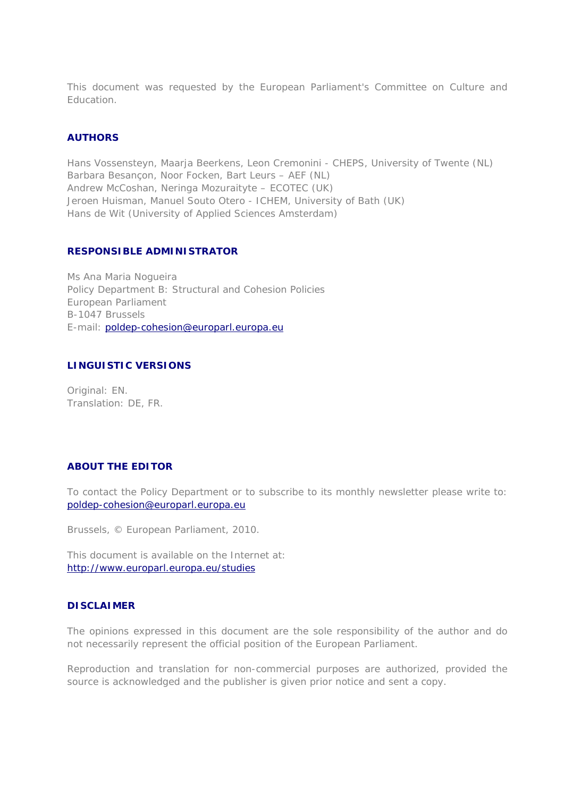This document was requested by the European Parliament's Committee on Culture and **Education** 

#### **AUTHORS**

Hans Vossensteyn, Maarja Beerkens, Leon Cremonini - CHEPS, University of Twente (NL) Barbara Besançon, Noor Focken, Bart Leurs – AEF (NL) Andrew McCoshan, Neringa Mozuraityte – ECOTEC (UK) Jeroen Huisman, Manuel Souto Otero - ICHEM, University of Bath (UK) Hans de Wit (University of Applied Sciences Amsterdam)

### **RESPONSIBLE ADMINISTRATOR**

Ms Ana Maria Nogueira Policy Department B: Structural and Cohesion Policies European Parliament B-1047 Brussels E-mail: poldep-cohesion@europarl.europa.eu

#### **LINGUISTIC VERSIONS**

Original: EN. Translation: DE, FR.

### **ABOUT THE EDITOR**

To contact the Policy Department or to subscribe to its monthly newsletter please write to: poldep-cohesion@europarl.europa.eu

Brussels, © European Parliament, 2010.

This document is available on the Internet at: <http://www.europarl.europa.eu/studies>

### **DISCLAIMER**

The opinions expressed in this document are the sole responsibility of the author and do not necessarily represent the official position of the European Parliament.

Reproduction and translation for non-commercial purposes are authorized, provided the source is acknowledged and the publisher is given prior notice and sent a copy.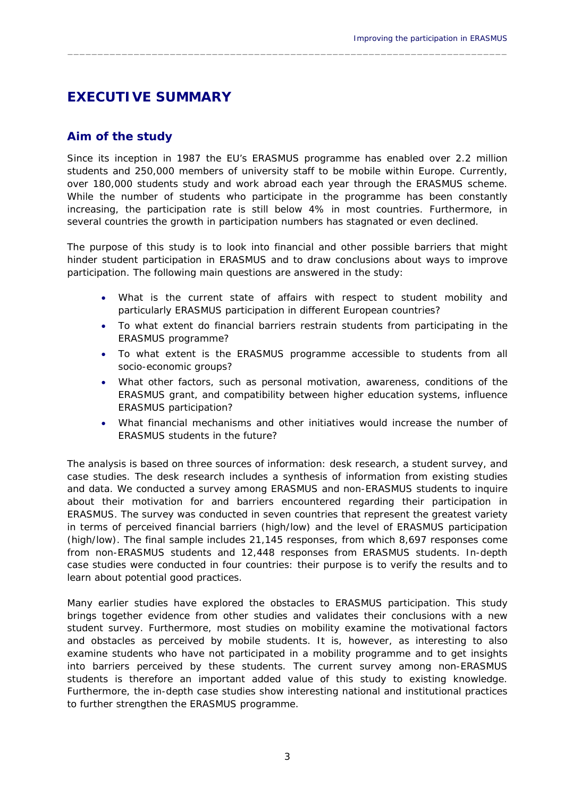# **EXECUTIVE SUMMARY**

# **Aim of the study**

Since its inception in 1987 the EU's ERASMUS programme has enabled over 2.2 million students and 250,000 members of university staff to be mobile within Europe. Currently, over 180,000 students study and work abroad each year through the ERASMUS scheme. While the number of students who participate in the programme has been constantly increasing, the participation rate is still below 4% in most countries. Furthermore, in several countries the growth in participation numbers has stagnated or even declined.

 $\_$  , and the set of the set of the set of the set of the set of the set of the set of the set of the set of the set of the set of the set of the set of the set of the set of the set of the set of the set of the set of th

The purpose of this study is to look into financial and other possible barriers that might hinder student participation in ERASMUS and to draw conclusions about ways to improve participation. The following main questions are answered in the study:

- What is the current state of affairs with respect to student mobility and particularly ERASMUS participation in different European countries?
- To what extent do financial barriers restrain students from participating in the ERASMUS programme?
- To what extent is the ERASMUS programme accessible to students from all socio-economic groups?
- What other factors, such as personal motivation, awareness, conditions of the ERASMUS grant, and compatibility between higher education systems, influence ERASMUS participation?
- What financial mechanisms and other initiatives would increase the number of ERASMUS students in the future?

The analysis is based on three sources of information: desk research, a student survey, and case studies. The *desk research* includes a synthesis of information from existing studies and data. We conducted a *survey* among ERASMUS and non-ERASMUS students to inquire about their motivation for and barriers encountered regarding their participation in ERASMUS. The survey was conducted in seven countries that represent the greatest variety in terms of perceived financial barriers (high/low) and the level of ERASMUS participation (high/low). The final sample includes 21,145 responses, from which 8,697 responses come from non-ERASMUS students and 12,448 responses from ERASMUS students. *In-depth case studies* were conducted in four countries: their purpose is to verify the results and to learn about potential good practices.

Many earlier studies have explored the obstacles to ERASMUS participation. This study brings together evidence from other studies and validates their conclusions with a new student survey. Furthermore, most studies on mobility examine the motivational factors and obstacles as perceived by mobile students. It is, however, as interesting to also examine students who have not participated in a mobility programme and to get insights into barriers perceived by these students. The current survey among non-ERASMUS students is therefore an important added value of this study to existing knowledge. Furthermore, the in-depth case studies show interesting national and institutional practices to further strengthen the ERASMUS programme.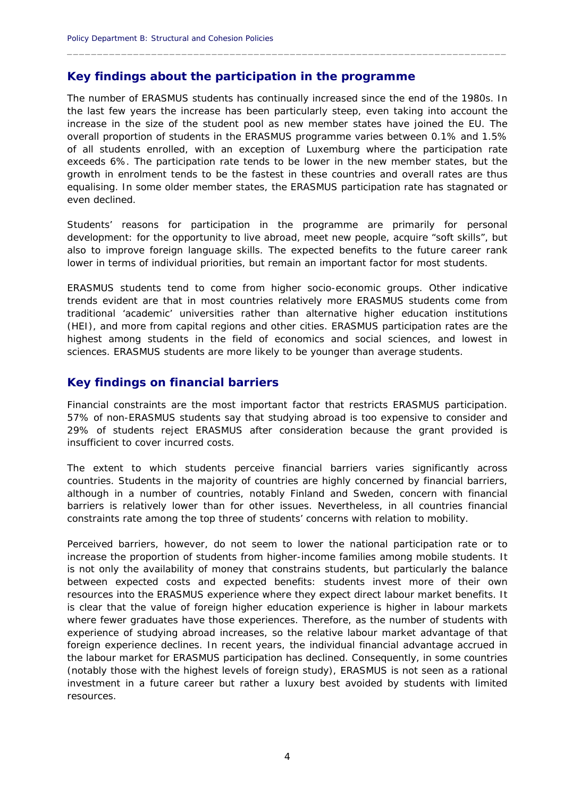## **Key findings about the participation in the programme**

The number of ERASMUS students has continually increased since the end of the 1980s. In the last few years the increase has been particularly steep, even taking into account the increase in the size of the student pool as new member states have joined the EU. The overall proportion of students in the ERASMUS programme varies between 0.1% and 1.5% of all students enrolled, with an exception of Luxemburg where the participation rate exceeds 6%. The participation rate tends to be lower in the new member states, but the growth in enrolment tends to be the fastest in these countries and overall rates are thus equalising. In some older member states, the ERASMUS participation rate has stagnated or even declined.

 $\_$  , and the set of the set of the set of the set of the set of the set of the set of the set of the set of the set of the set of the set of the set of the set of the set of the set of the set of the set of the set of th

Students' reasons for participation in the programme are primarily for personal development: for the opportunity to live abroad, meet new people, acquire "soft skills", but also to improve foreign language skills. The expected benefits to the future career rank lower in terms of individual priorities, but remain an important factor for most students.

ERASMUS students tend to come from higher socio-economic groups. Other indicative trends evident are that in most countries relatively more ERASMUS students come from traditional 'academic' universities rather than alternative higher education institutions (HEI), and more from capital regions and other cities. ERASMUS participation rates are the highest among students in the field of economics and social sciences, and lowest in sciences. ERASMUS students are more likely to be younger than average students.

### **Key findings on financial barriers**

Financial constraints are the most important factor that restricts ERASMUS participation. 57% of non-ERASMUS students say that studying abroad is too expensive to consider and 29% of students reject ERASMUS after consideration because the grant provided is insufficient to cover incurred costs.

The extent to which students perceive financial barriers varies significantly across countries. Students in the majority of countries are highly concerned by financial barriers, although in a number of countries, notably Finland and Sweden, concern with financial barriers is relatively lower than for other issues. Nevertheless, in all countries financial constraints rate among the top three of students' concerns with relation to mobility.

Perceived barriers, however, do not seem to lower the national participation rate or to increase the proportion of students from higher-income families among mobile students. It is not only the availability of money that constrains students, but particularly the balance between expected costs and expected benefits: students invest more of their own resources into the ERASMUS experience where they expect direct labour market benefits. It is clear that the value of foreign higher education experience is higher in labour markets where fewer graduates have those experiences. Therefore, as the number of students with experience of studying abroad increases, so the relative labour market advantage of that foreign experience declines. In recent years, the individual financial advantage accrued in the labour market for ERASMUS participation has declined. Consequently, in some countries (notably those with the highest levels of foreign study), ERASMUS is not seen as a rational investment in a future career but rather a luxury best avoided by students with limited resources.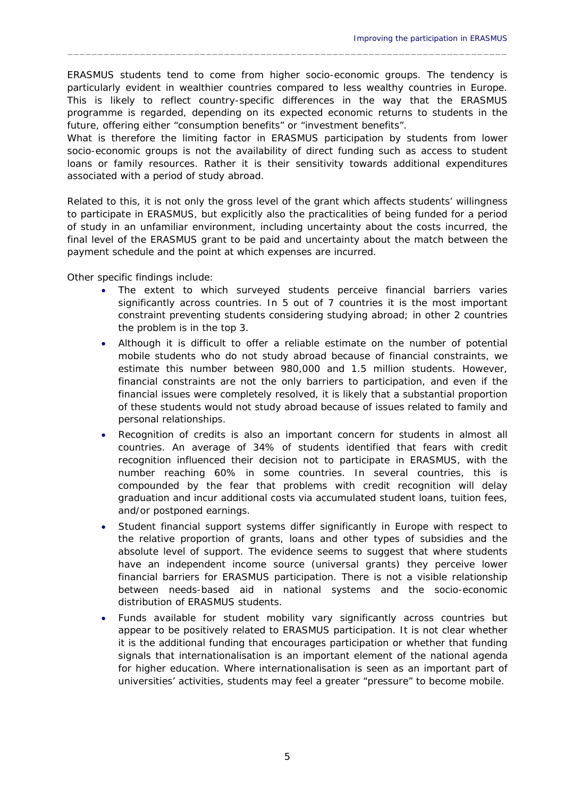ERASMUS students tend to come from higher socio-economic groups. The tendency is particularly evident in wealthier countries compared to less wealthy countries in Europe. This is likely to reflect country-specific differences in the way that the ERASMUS programme is regarded, depending on its expected economic returns to students in the future, offering either "consumption benefits" or "investment benefits".

 $\_$  , and the set of the set of the set of the set of the set of the set of the set of the set of the set of the set of the set of the set of the set of the set of the set of the set of the set of the set of the set of th

What is therefore the limiting factor in ERASMUS participation by students from lower socio-economic groups is not the availability of direct funding such as access to student loans or family resources. Rather it is their sensitivity towards additional expenditures associated with a period of study abroad.

Related to this, it is not only the gross level of the grant which affects students' willingness to participate in ERASMUS, but explicitly also the practicalities of being funded for a period of study in an unfamiliar environment, including uncertainty about the costs incurred, the final level of the ERASMUS grant to be paid and uncertainty about the match between the payment schedule and the point at which expenses are incurred.

Other specific findings include:

- The extent to which surveyed students perceive financial barriers varies significantly across countries. In 5 out of 7 countries it is the most important constraint preventing students considering studying abroad; in other 2 countries the problem is in the top 3.
- Although it is difficult to offer a reliable estimate on the number of potential mobile students who do not study abroad because of financial constraints, we estimate this number between 980,000 and 1.5 million students. However, financial constraints are not the only barriers to participation, and even if the financial issues were completely resolved, it is likely that a substantial proportion of these students would not study abroad because of issues related to family and personal relationships.
- Recognition of credits is also an important concern for students in almost all countries. An average of 34% of students identified that fears with credit recognition influenced their decision not to participate in ERASMUS, with the number reaching 60% in some countries. In several countries, this is compounded by the fear that problems with credit recognition will delay graduation and incur additional costs via accumulated student loans, tuition fees, and/or postponed earnings.
- Student financial support systems differ significantly in Europe with respect to the relative proportion of grants, loans and other types of subsidies and the absolute level of support. The evidence seems to suggest that where students have an independent income source (universal grants) they perceive lower financial barriers for ERASMUS participation. There is not a visible relationship between needs-based aid in national systems and the socio-economic distribution of ERASMUS students.
- Funds available for student mobility vary significantly across countries but appear to be positively related to ERASMUS participation. It is not clear whether it is the additional funding that encourages participation or whether that funding signals that internationalisation is an important element of the national agenda for higher education. Where internationalisation is seen as an important part of universities' activities, students may feel a greater "pressure" to become mobile.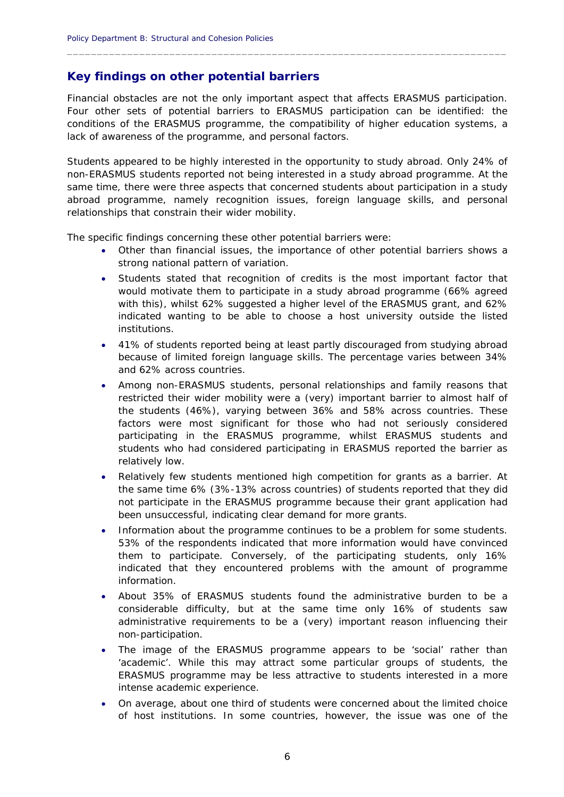## **Key findings on other potential barriers**

Financial obstacles are not the only important aspect that affects ERASMUS participation. Four other sets of potential barriers to ERASMUS participation can be identified: the conditions of the ERASMUS programme, the compatibility of higher education systems, a lack of awareness of the programme, and personal factors.

 $\_$  , and the set of the set of the set of the set of the set of the set of the set of the set of the set of the set of the set of the set of the set of the set of the set of the set of the set of the set of the set of th

Students appeared to be highly interested in the opportunity to study abroad. Only 24% of non-ERASMUS students reported not being interested in a study abroad programme. At the same time, there were three aspects that concerned students about participation in a study abroad programme, namely recognition issues, foreign language skills, and personal relationships that constrain their wider mobility.

The specific findings concerning these other potential barriers were:

- Other than financial issues, the importance of other potential barriers shows a strong national pattern of variation.
- Students stated that recognition of credits is the most important factor that would motivate them to participate in a study abroad programme (66% agreed with this), whilst 62% suggested a higher level of the ERASMUS grant, and 62% indicated wanting to be able to choose a host university outside the listed institutions.
- 41% of students reported being at least partly discouraged from studying abroad because of limited foreign language skills. The percentage varies between 34% and 62% across countries.
- Among non-ERASMUS students, personal relationships and family reasons that restricted their wider mobility were a (very) important barrier to almost half of the students (46%), varying between 36% and 58% across countries. These factors were most significant for those who had not seriously considered participating in the ERASMUS programme, whilst ERASMUS students and students who had considered participating in ERASMUS reported the barrier as relatively low.
- Relatively few students mentioned high competition for grants as a barrier. At the same time 6% (3%-13% across countries) of students reported that they did not participate in the ERASMUS programme because their grant application had been unsuccessful, indicating clear demand for more grants.
- Information about the programme continues to be a problem for some students. 53% of the respondents indicated that more information would have convinced them to participate. Conversely, of the participating students, only 16% indicated that they encountered problems with the amount of programme information.
- About 35% of ERASMUS students found the administrative burden to be a considerable difficulty, but at the same time only 16% of students saw administrative requirements to be a (very) important reason influencing their non-participation.
- The image of the ERASMUS programme appears to be 'social' rather than 'academic'. While this may attract some particular groups of students, the ERASMUS programme may be less attractive to students interested in a more intense academic experience.
- On average, about one third of students were concerned about the limited choice of host institutions. In some countries, however, the issue was one of the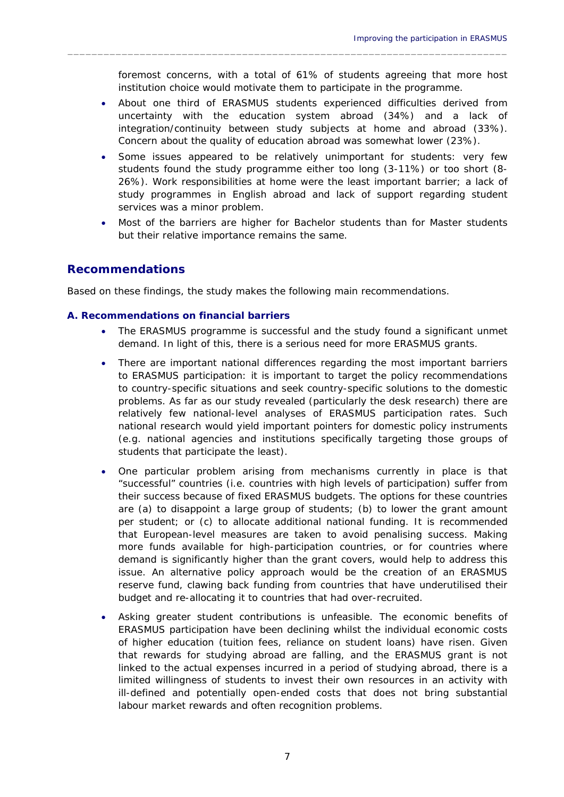foremost concerns, with a total of 61% of students agreeing that more host institution choice would motivate them to participate in the programme.

 $\_$  , and the set of the set of the set of the set of the set of the set of the set of the set of the set of the set of the set of the set of the set of the set of the set of the set of the set of the set of the set of th

- About one third of ERASMUS students experienced difficulties derived from uncertainty with the education system abroad (34%) and a lack of integration/continuity between study subjects at home and abroad (33%). Concern about the quality of education abroad was somewhat lower (23%).
- Some issues appeared to be relatively unimportant for students: very few students found the study programme either too long (3-11%) or too short (8- 26%). Work responsibilities at home were the least important barrier; a lack of study programmes in English abroad and lack of support regarding student services was a minor problem.
- Most of the barriers are higher for Bachelor students than for Master students but their relative importance remains the same.

# **Recommendations**

Based on these findings, the study makes the following main recommendations.

### **A. Recommendations on financial barriers**

- The ERASMUS programme is successful and the study found a significant unmet demand. In light of this, there is a serious need for more ERASMUS grants.
- There are important national differences regarding the most important barriers to ERASMUS participation: it is important to target the policy recommendations to country-specific situations and seek country-specific solutions to the domestic problems. As far as our study revealed (particularly the desk research) there are relatively few national-level analyses of ERASMUS participation rates. Such national research would yield important pointers for domestic policy instruments (e.g. national agencies and institutions specifically targeting those groups of students that participate the least).
- One particular problem arising from mechanisms currently in place is that "successful" countries (i.e. countries with high levels of participation) suffer from their success because of fixed ERASMUS budgets. The options for these countries are (a) to disappoint a large group of students; (b) to lower the grant amount per student; or (c) to allocate additional national funding. It is recommended that European-level measures are taken to avoid penalising success. Making more funds available for high-participation countries, or for countries where demand is significantly higher than the grant covers, would help to address this issue. An alternative policy approach would be the creation of an ERASMUS reserve fund, clawing back funding from countries that have underutilised their budget and re-allocating it to countries that had over-recruited.
- Asking greater student contributions is unfeasible. The economic benefits of ERASMUS participation have been declining whilst the individual economic costs of higher education (tuition fees, reliance on student loans) have risen. Given that rewards for studying abroad are falling, and the ERASMUS grant is not linked to the actual expenses incurred in a period of studying abroad, there is a limited willingness of students to invest their own resources in an activity with ill-defined and potentially open-ended costs that does not bring substantial labour market rewards and often recognition problems.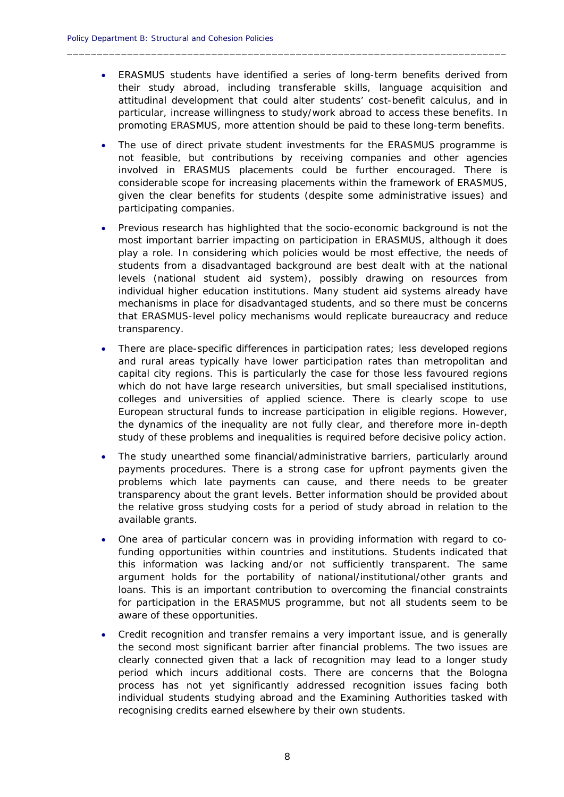ERASMUS students have identified a series of long-term benefits derived from their study abroad, including transferable skills, language acquisition and attitudinal development that could alter students' cost-benefit calculus, and in particular, increase willingness to study/work abroad to access these benefits. In promoting ERASMUS, more attention should be paid to these long-term benefits.

 $\_$  , and the set of the set of the set of the set of the set of the set of the set of the set of the set of the set of the set of the set of the set of the set of the set of the set of the set of the set of the set of th

- The use of direct private student investments for the ERASMUS programme is not feasible, but contributions by receiving companies and other agencies involved in ERASMUS placements could be further encouraged. There is considerable scope for increasing placements within the framework of ERASMUS, given the clear benefits for students (despite some administrative issues) and participating companies.
- Previous research has highlighted that the socio-economic background is not the most important barrier impacting on participation in ERASMUS, although it does play a role. In considering which policies would be most effective, the needs of students from a disadvantaged background are best dealt with at the national levels (national student aid system), possibly drawing on resources from individual higher education institutions. Many student aid systems already have mechanisms in place for disadvantaged students, and so there must be concerns that ERASMUS-level policy mechanisms would replicate bureaucracy and reduce transparency.
- There are place-specific differences in participation rates; less developed regions and rural areas typically have lower participation rates than metropolitan and capital city regions. This is particularly the case for those less favoured regions which do not have large research universities, but small specialised institutions, colleges and universities of applied science. There is clearly scope to use European structural funds to increase participation in eligible regions. However, the dynamics of the inequality are not fully clear, and therefore more in-depth study of these problems and inequalities is required before decisive policy action.
- The study unearthed some financial/administrative barriers, particularly around payments procedures. There is a strong case for upfront payments given the problems which late payments can cause, and there needs to be greater transparency about the grant levels. Better information should be provided about the relative gross studying costs for a period of study abroad in relation to the available grants.
- One area of particular concern was in providing information with regard to cofunding opportunities within countries and institutions. Students indicated that this information was lacking and/or not sufficiently transparent. The same argument holds for the portability of national/institutional/other grants and loans. This is an important contribution to overcoming the financial constraints for participation in the ERASMUS programme, but not all students seem to be aware of these opportunities.
- Credit recognition and transfer remains a very important issue, and is generally the second most significant barrier after financial problems. The two issues are clearly connected given that a lack of recognition may lead to a longer study period which incurs additional costs. There are concerns that the Bologna process has not yet significantly addressed recognition issues facing both individual students studying abroad and the Examining Authorities tasked with recognising credits earned elsewhere by their own students.